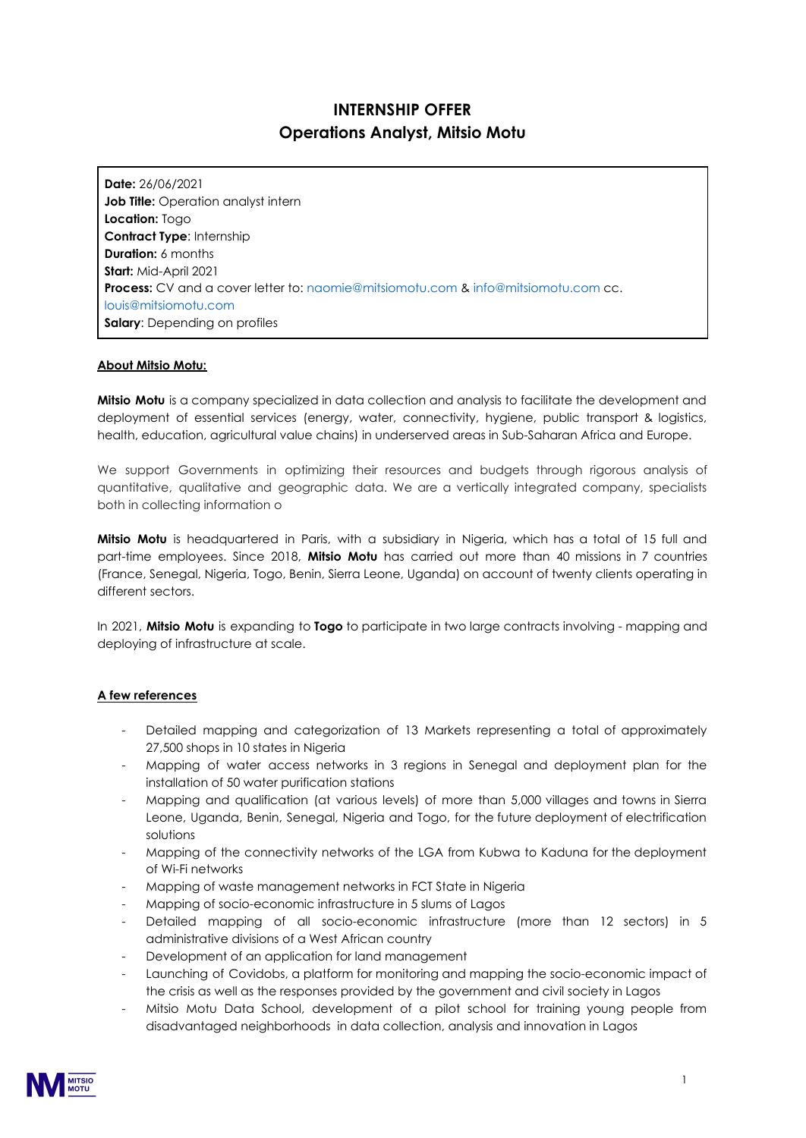# **INTERNSHIP OFFER Operations Analyst, Mitsio Motu**

**Date:** 26/06/2021 **Job Title:** Operation analyst intern **Location:** Togo **Contract Type**: Internship **Duration:** 6 months **Start:** Mid-April 2021 **Process:** CV and a cover letter to: naomie@mitsiomotu.com & info@mitsiomotu.com cc. louis@mitsiomotu.com **Salary:** Depending on profiles

### **About Mitsio Motu:**

**Mitsio Motu** is a company specialized in data collection and analysis to facilitate the development and deployment of essential services (energy, water, connectivity, hygiene, public transport & logistics, health, education, agricultural value chains) in underserved areas in Sub-Saharan Africa and Europe.

We support Governments in optimizing their resources and budgets through rigorous analysis of quantitative, qualitative and geographic data. We are a vertically integrated company, specialists both in collecting information o

**Mitsio Motu** is headquartered in Paris, with a subsidiary in Nigeria, which has a total of 15 full and part-time employees. Since 2018, **Mitsio Motu** has carried out more than 40 missions in 7 countries (France, Senegal, Nigeria, Togo, Benin, Sierra Leone, Uganda) on account of twenty clients operating in different sectors.

In 2021, **Mitsio Motu** is expanding to **Togo** to participate in two large contracts involving - mapping and deploying of infrastructure at scale.

#### **A few references**

- Detailed mapping and categorization of 13 Markets representing a total of approximately 27,500 shops in 10 states in Nigeria
- Mapping of water access networks in 3 regions in Senegal and deployment plan for the installation of 50 water purification stations
- Mapping and qualification (at various levels) of more than 5,000 villages and towns in Sierra Leone, Uganda, Benin, Senegal, Nigeria and Togo, for the future deployment of electrification solutions
- Mapping of the connectivity networks of the LGA from Kubwa to Kaduna for the deployment of Wi-Fi networks
- Mapping of waste management networks in FCT State in Nigeria
- Mapping of socio-economic infrastructure in 5 slums of Lagos
- Detailed mapping of all socio-economic infrastructure (more than 12 sectors) in 5 administrative divisions of a West African country
- Development of an application for land management
- Launching of Covidobs, a platform for monitoring and mapping the socio-economic impact of the crisis as well as the responses provided by the government and civil society in Lagos
- Mitsio Motu Data School, development of a pilot school for training young people from disadvantaged neighborhoods in data collection, analysis and innovation in Lagos

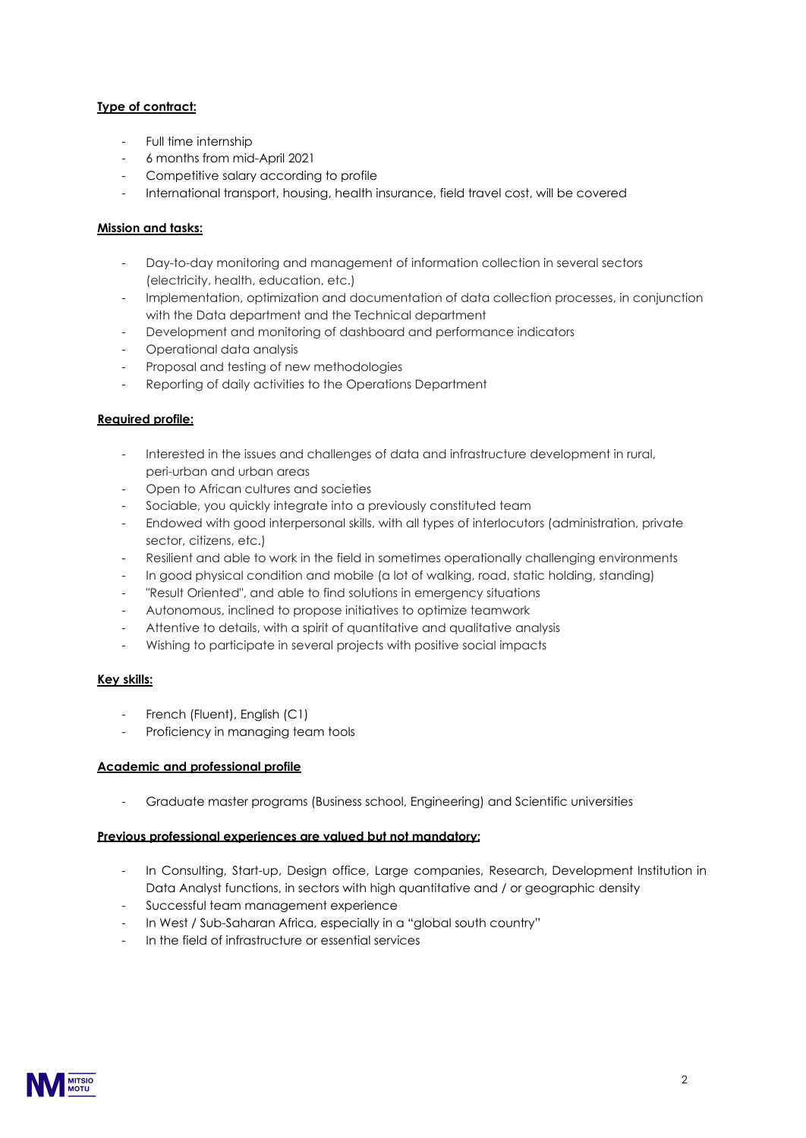# **Type of contract:**

- Full time internship
- 6 months from mid-April 2021
- Competitive salary according to profile
- International transport, housing, health insurance, field travel cost, will be covered

## **Mission and tasks:**

- Day-to-day monitoring and management of information collection in several sectors (electricity, health, education, etc.)
- Implementation, optimization and documentation of data collection processes, in conjunction with the Data department and the Technical department
- Development and monitoring of dashboard and performance indicators
- Operational data analysis
- Proposal and testing of new methodologies
- Reporting of daily activities to the Operations Department

### **Required profile:**

- Interested in the issues and challenges of data and infrastructure development in rural, peri-urban and urban areas
- Open to African cultures and societies
- Sociable, you quickly integrate into a previously constituted team
- Endowed with good interpersonal skills, with all types of interlocutors (administration, private sector, citizens, etc.)
- Resilient and able to work in the field in sometimes operationally challenging environments
- In good physical condition and mobile (a lot of walking, road, static holding, standing)
- "Result Oriented", and able to find solutions in emergency situations
- Autonomous, inclined to propose initiatives to optimize teamwork
- Attentive to details, with a spirit of quantitative and qualitative analysis
- Wishing to participate in several projects with positive social impacts

### **Key skills:**

- French (Fluent), English (C1)
- Proficiency in managing team tools

### **Academic and professional profile**

- Graduate master programs (Business school, Engineering) and Scientific universities

### **Previous professional experiences are valued but not mandatory:**

- In Consulting, Start-up, Design office, Large companies, Research, Development Institution in Data Analyst functions, in sectors with high quantitative and / or geographic density
- Successful team management experience
- In West / Sub-Saharan Africa, especially in a "global south country"
- In the field of infrastructure or essential services